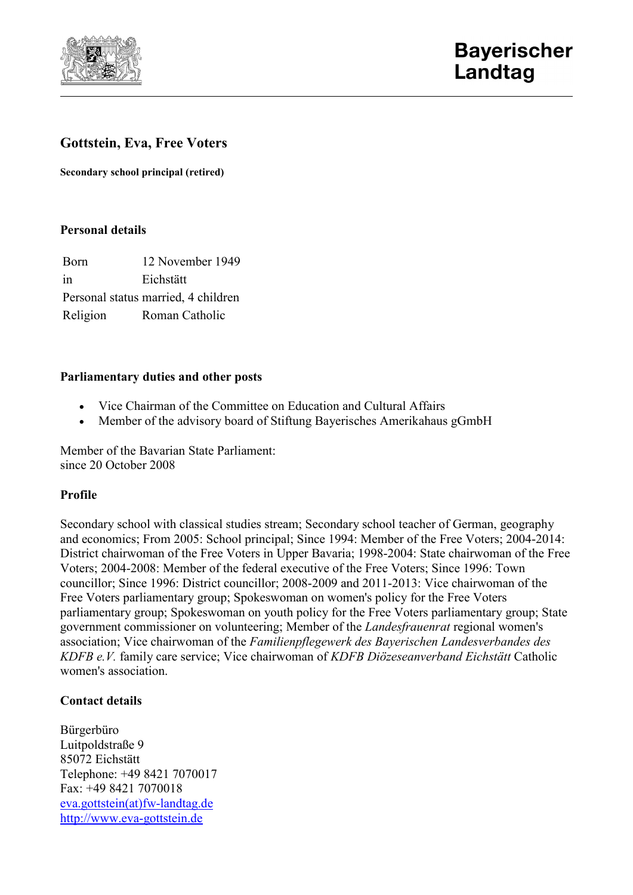

# **Gottstein, Eva, Free Voters**

**Secondary school principal (retired)**

### **Personal details**

Born 12 November 1949 in Eichstätt Personal status married, 4 children Religion Roman Catholic

### **Parliamentary duties and other posts**

- Vice Chairman of the Committee on Education and Cultural Affairs
- Member of the advisory board of Stiftung Bayerisches Amerikahaus gGmbH

Member of the Bavarian State Parliament: since 20 October 2008

#### **Profile**

Secondary school with classical studies stream; Secondary school teacher of German, geography and economics; From 2005: School principal; Since 1994: Member of the Free Voters; 2004-2014: District chairwoman of the Free Voters in Upper Bavaria; 1998-2004: State chairwoman of the Free Voters; 2004-2008: Member of the federal executive of the Free Voters; Since 1996: Town councillor; Since 1996: District councillor; 2008-2009 and 2011-2013: Vice chairwoman of the Free Voters parliamentary group; Spokeswoman on women's policy for the Free Voters parliamentary group; Spokeswoman on youth policy for the Free Voters parliamentary group; State government commissioner on volunteering; Member of the *Landesfrauenrat* regional women's association; Vice chairwoman of the *Familienpflegewerk des Bayerischen Landesverbandes des KDFB e.V.* family care service; Vice chairwoman of *KDFB Diözeseanverband Eichstätt* Catholic women's association.

## **Contact details**

Bürgerbüro Luitpoldstraße 9 85072 Eichstätt Telephone: +49 8421 7070017 Fax: +49 8421 7070018 [eva.gottstein\(at\)fw-landtag.de](javascript:linkTo_UnCryptMailto() [http://www.eva-gottstein.de](http://www.eva-gottstein.de/)